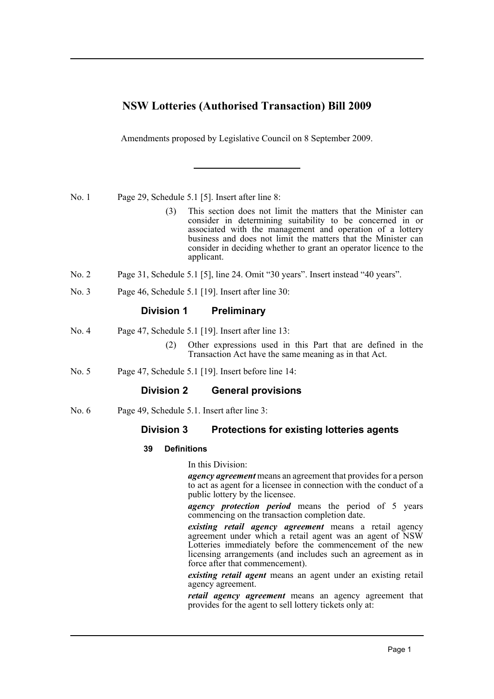# **NSW Lotteries (Authorised Transaction) Bill 2009**

Amendments proposed by Legislative Council on 8 September 2009.

No. 1 Page 29, Schedule 5.1 [5]. Insert after line 8:

- (3) This section does not limit the matters that the Minister can consider in determining suitability to be concerned in or associated with the management and operation of a lottery business and does not limit the matters that the Minister can consider in deciding whether to grant an operator licence to the applicant.
- No. 2 Page 31, Schedule 5.1 [5], line 24. Omit "30 years". Insert instead "40 years".
- No. 3 Page 46, Schedule 5.1 [19]. Insert after line 30:

## **Division 1 Preliminary**

- No. 4 Page 47, Schedule 5.1 [19]. Insert after line 13:
	- (2) Other expressions used in this Part that are defined in the Transaction Act have the same meaning as in that Act.
- No. 5 Page 47, Schedule 5.1 [19]. Insert before line 14:

## **Division 2 General provisions**

No. 6 Page 49, Schedule 5.1. Insert after line 3:

## **Division 3 Protections for existing lotteries agents**

## **39 Definitions**

In this Division:

*agency agreement* means an agreement that provides for a person to act as agent for a licensee in connection with the conduct of a public lottery by the licensee.

*agency protection period* means the period of 5 years commencing on the transaction completion date.

*existing retail agency agreement* means a retail agency agreement under which a retail agent was an agent of NSW Lotteries immediately before the commencement of the new licensing arrangements (and includes such an agreement as in force after that commencement).

*existing retail agent* means an agent under an existing retail agency agreement.

*retail agency agreement* means an agency agreement that provides for the agent to sell lottery tickets only at: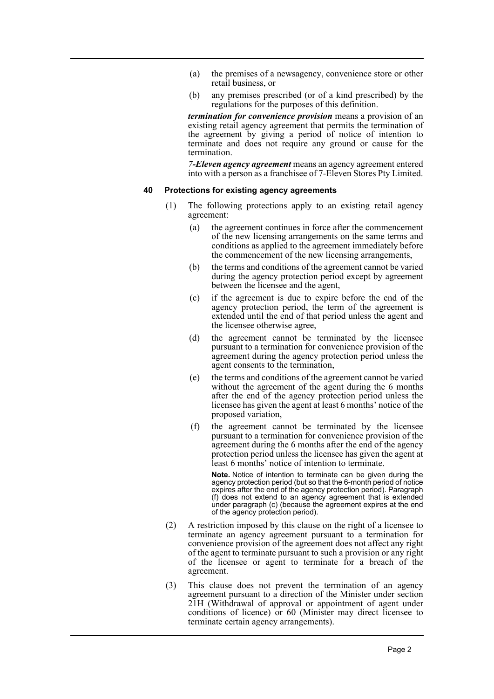- (a) the premises of a newsagency, convenience store or other retail business, or
- (b) any premises prescribed (or of a kind prescribed) by the regulations for the purposes of this definition.

*termination for convenience provision* means a provision of an existing retail agency agreement that permits the termination of the agreement by giving a period of notice of intention to terminate and does not require any ground or cause for the termination.

*7-Eleven agency agreement* means an agency agreement entered into with a person as a franchisee of 7-Eleven Stores Pty Limited.

#### **40 Protections for existing agency agreements**

- (1) The following protections apply to an existing retail agency agreement:
	- (a) the agreement continues in force after the commencement of the new licensing arrangements on the same terms and conditions as applied to the agreement immediately before the commencement of the new licensing arrangements,
	- (b) the terms and conditions of the agreement cannot be varied during the agency protection period except by agreement between the licensee and the agent,
	- (c) if the agreement is due to expire before the end of the agency protection period, the term of the agreement is extended until the end of that period unless the agent and the licensee otherwise agree,
	- (d) the agreement cannot be terminated by the licensee pursuant to a termination for convenience provision of the agreement during the agency protection period unless the agent consents to the termination,
	- (e) the terms and conditions of the agreement cannot be varied without the agreement of the agent during the 6 months after the end of the agency protection period unless the licensee has given the agent at least 6 months' notice of the proposed variation,
	- (f) the agreement cannot be terminated by the licensee pursuant to a termination for convenience provision of the agreement during the 6 months after the end of the agency protection period unless the licensee has given the agent at least 6 months' notice of intention to terminate.

**Note.** Notice of intention to terminate can be given during the agency protection period (but so that the 6-month period of notice expires after the end of the agency protection period). Paragraph (f) does not extend to an agency agreement that is extended under paragraph (c) (because the agreement expires at the end of the agency protection period).

- (2) A restriction imposed by this clause on the right of a licensee to terminate an agency agreement pursuant to a termination for convenience provision of the agreement does not affect any right of the agent to terminate pursuant to such a provision or any right of the licensee or agent to terminate for a breach of the agreement.
- (3) This clause does not prevent the termination of an agency agreement pursuant to a direction of the Minister under section 21H (Withdrawal of approval or appointment of agent under conditions of licence) or 60 (Minister may direct licensee to terminate certain agency arrangements).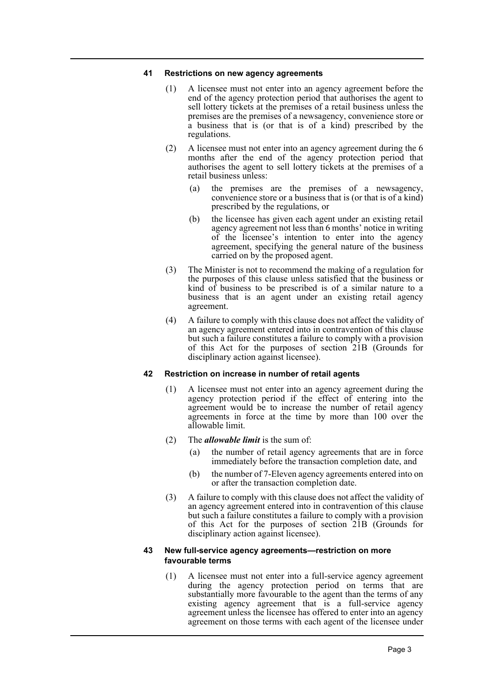#### **41 Restrictions on new agency agreements**

- (1) A licensee must not enter into an agency agreement before the end of the agency protection period that authorises the agent to sell lottery tickets at the premises of a retail business unless the premises are the premises of a newsagency, convenience store or a business that is (or that is of a kind) prescribed by the regulations.
- (2) A licensee must not enter into an agency agreement during the 6 months after the end of the agency protection period that authorises the agent to sell lottery tickets at the premises of a retail business unless:
	- (a) the premises are the premises of a newsagency, convenience store or a business that is (or that is of a kind) prescribed by the regulations, or
	- (b) the licensee has given each agent under an existing retail agency agreement not less than 6 months' notice in writing of the licensee's intention to enter into the agency agreement, specifying the general nature of the business carried on by the proposed agent.
- (3) The Minister is not to recommend the making of a regulation for the purposes of this clause unless satisfied that the business or kind of business to be prescribed is of a similar nature to a business that is an agent under an existing retail agency agreement.
- (4) A failure to comply with this clause does not affect the validity of an agency agreement entered into in contravention of this clause but such a failure constitutes a failure to comply with a provision of this Act for the purposes of section 21B (Grounds for disciplinary action against licensee).

## **42 Restriction on increase in number of retail agents**

- (1) A licensee must not enter into an agency agreement during the agency protection period if the effect of entering into the agreement would be to increase the number of retail agency agreements in force at the time by more than 100 over the allowable limit.
- (2) The *allowable limit* is the sum of:
	- (a) the number of retail agency agreements that are in force immediately before the transaction completion date, and
	- (b) the number of 7-Eleven agency agreements entered into on or after the transaction completion date.
- (3) A failure to comply with this clause does not affect the validity of an agency agreement entered into in contravention of this clause but such a failure constitutes a failure to comply with a provision of this Act for the purposes of section 21B (Grounds for disciplinary action against licensee).

## **43 New full-service agency agreements—restriction on more favourable terms**

(1) A licensee must not enter into a full-service agency agreement during the agency protection period on terms that are substantially more favourable to the agent than the terms of any existing agency agreement that is a full-service agency agreement unless the licensee has offered to enter into an agency agreement on those terms with each agent of the licensee under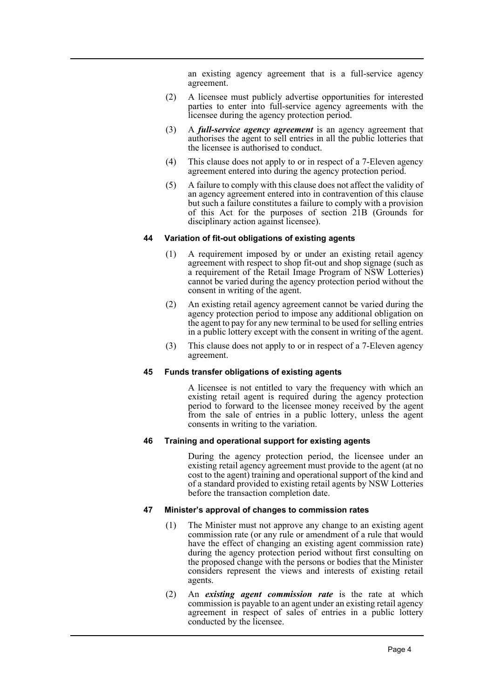an existing agency agreement that is a full-service agency agreement.

- (2) A licensee must publicly advertise opportunities for interested parties to enter into full-service agency agreements with the licensee during the agency protection period.
- (3) A *full-service agency agreement* is an agency agreement that authorises the agent to sell entries in all the public lotteries that the licensee is authorised to conduct.
- (4) This clause does not apply to or in respect of a 7-Eleven agency agreement entered into during the agency protection period.
- (5) A failure to comply with this clause does not affect the validity of an agency agreement entered into in contravention of this clause but such a failure constitutes a failure to comply with a provision of this Act for the purposes of section 21B (Grounds for disciplinary action against licensee).

#### **44 Variation of fit-out obligations of existing agents**

- (1) A requirement imposed by or under an existing retail agency agreement with respect to shop fit-out and shop signage (such as a requirement of the Retail Image Program of NSW Lotteries) cannot be varied during the agency protection period without the consent in writing of the agent.
- (2) An existing retail agency agreement cannot be varied during the agency protection period to impose any additional obligation on the agent to pay for any new terminal to be used for selling entries in a public lottery except with the consent in writing of the agent.
- (3) This clause does not apply to or in respect of a 7-Eleven agency agreement.

#### **45 Funds transfer obligations of existing agents**

A licensee is not entitled to vary the frequency with which an existing retail agent is required during the agency protection period to forward to the licensee money received by the agent from the sale of entries in a public lottery, unless the agent consents in writing to the variation.

## **46 Training and operational support for existing agents**

During the agency protection period, the licensee under an existing retail agency agreement must provide to the agent (at no cost to the agent) training and operational support of the kind and of a standard provided to existing retail agents by NSW Lotteries before the transaction completion date.

#### **47 Minister's approval of changes to commission rates**

- (1) The Minister must not approve any change to an existing agent commission rate (or any rule or amendment of a rule that would have the effect of changing an existing agent commission rate) during the agency protection period without first consulting on the proposed change with the persons or bodies that the Minister considers represent the views and interests of existing retail agents.
- (2) An *existing agent commission rate* is the rate at which commission is payable to an agent under an existing retail agency agreement in respect of sales of entries in a public lottery conducted by the licensee.